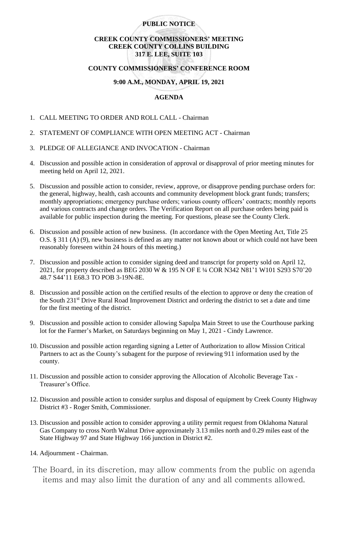# **PUBLIC NOTICE**

# **CREEK COUNTY COMMISSIONERS' MEETING CREEK COUNTY COLLINS BUILDING 317 E. LEE, SUITE 103**

#### **COUNTY COMMISSIONERS' CONFERENCE ROOM**

### **9:00 A.M., MONDAY, APRIL 19, 2021**

# **AGENDA**

- 1. CALL MEETING TO ORDER AND ROLL CALL Chairman
- 2. STATEMENT OF COMPLIANCE WITH OPEN MEETING ACT Chairman
- 3. PLEDGE OF ALLEGIANCE AND INVOCATION Chairman
- 4. Discussion and possible action in consideration of approval or disapproval of prior meeting minutes for meeting held on April 12, 2021.
- 5. Discussion and possible action to consider, review, approve, or disapprove pending purchase orders for: the general, highway, health, cash accounts and community development block grant funds; transfers; monthly appropriations; emergency purchase orders; various county officers' contracts; monthly reports and various contracts and change orders. The Verification Report on all purchase orders being paid is available for public inspection during the meeting. For questions, please see the County Clerk.
- 6. Discussion and possible action of new business. (In accordance with the Open Meeting Act, Title 25 O.S. § 311 (A) (9), new business is defined as any matter not known about or which could not have been reasonably foreseen within 24 hours of this meeting.)
- 7. Discussion and possible action to consider signing deed and transcript for property sold on April 12, 2021, for property described as BEG 2030 W & 195 N OF E ¼ COR N342 N81'1 W101 S293 S70'20 48.7 S44'11 E68.3 TO POB 3-19N-8E.
- 8. Discussion and possible action on the certified results of the election to approve or deny the creation of the South 231st Drive Rural Road Improvement District and ordering the district to set a date and time for the first meeting of the district.
- 9. Discussion and possible action to consider allowing Sapulpa Main Street to use the Courthouse parking lot for the Farmer's Market, on Saturdays beginning on May 1, 2021 - Cindy Lawrence.
- 10. Discussion and possible action regarding signing a Letter of Authorization to allow Mission Critical Partners to act as the County's subagent for the purpose of reviewing 911 information used by the county.
- 11. Discussion and possible action to consider approving the Allocation of Alcoholic Beverage Tax Treasurer's Office.
- 12. Discussion and possible action to consider surplus and disposal of equipment by Creek County Highway District #3 - Roger Smith, Commissioner.
- 13. Discussion and possible action to consider approving a utility permit request from Oklahoma Natural Gas Company to cross North Walnut Drive approximately 3.13 miles north and 0.29 miles east of the State Highway 97 and State Highway 166 junction in District #2.
- 14. Adjournment Chairman.
- The Board, in its discretion, may allow comments from the public on agenda items and may also limit the duration of any and all comments allowed.